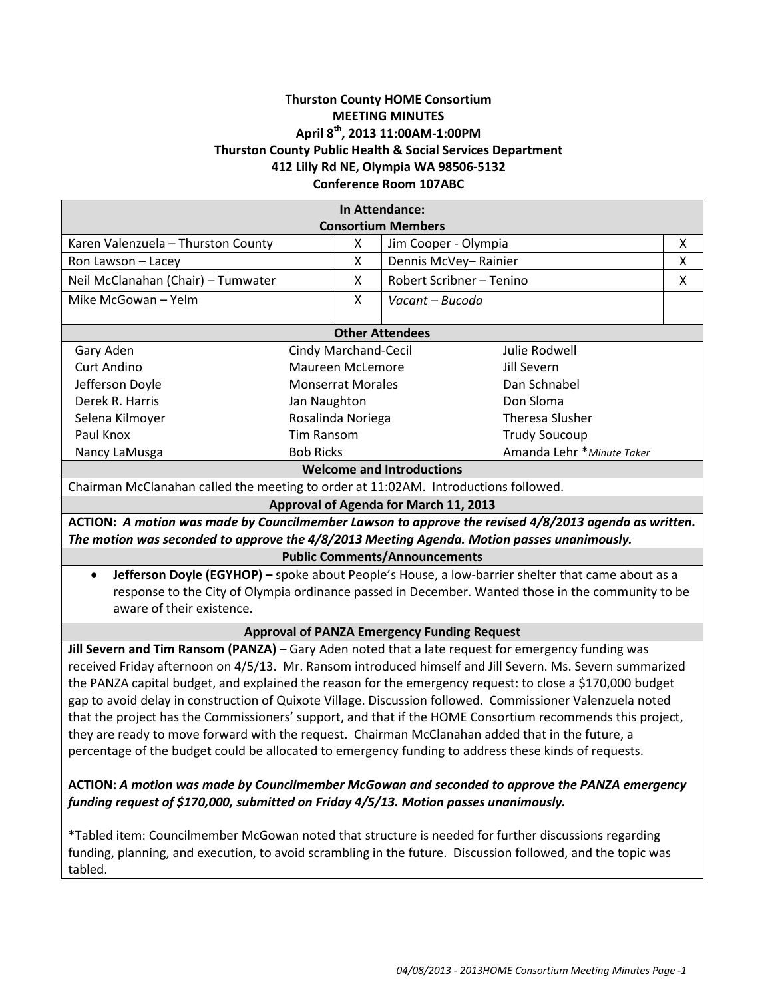# **Thurston County HOME Consortium MEETING MINUTES April 8th, 2013 11:00AM-1:00PM Thurston County Public Health & Social Services Department 412 Lilly Rd NE, Olympia WA 98506-5132 Conference Room 107ABC**

|                                                                                                           |                          |              | In Attendance:                                                                                       |                                                                                                                       |   |
|-----------------------------------------------------------------------------------------------------------|--------------------------|--------------|------------------------------------------------------------------------------------------------------|-----------------------------------------------------------------------------------------------------------------------|---|
|                                                                                                           |                          |              | <b>Consortium Members</b>                                                                            |                                                                                                                       |   |
| Karen Valenzuela - Thurston County                                                                        |                          | X            | Jim Cooper - Olympia                                                                                 |                                                                                                                       | Χ |
| Ron Lawson - Lacey                                                                                        |                          | $\mathsf{x}$ |                                                                                                      | Dennis McVey-Rainier                                                                                                  |   |
| Neil McClanahan (Chair) - Tumwater                                                                        |                          | X            | Robert Scribner - Tenino                                                                             |                                                                                                                       | Χ |
| Mike McGowan - Yelm                                                                                       |                          | X            | Vacant - Bucoda                                                                                      |                                                                                                                       |   |
|                                                                                                           |                          |              |                                                                                                      |                                                                                                                       |   |
| <b>Other Attendees</b><br>Cindy Marchand-Cecil<br>Gary Aden<br>Julie Rodwell                              |                          |              |                                                                                                      |                                                                                                                       |   |
| <b>Curt Andino</b>                                                                                        | Maureen McLemore         |              |                                                                                                      | Jill Severn                                                                                                           |   |
| Jefferson Doyle                                                                                           | <b>Monserrat Morales</b> |              |                                                                                                      | Dan Schnabel                                                                                                          |   |
| Derek R. Harris                                                                                           | Jan Naughton             |              |                                                                                                      | Don Sloma                                                                                                             |   |
| Selena Kilmoyer                                                                                           | Rosalinda Noriega        |              |                                                                                                      | <b>Theresa Slusher</b>                                                                                                |   |
| Paul Knox                                                                                                 | Tim Ransom               |              |                                                                                                      | <b>Trudy Soucoup</b>                                                                                                  |   |
| Nancy LaMusga                                                                                             | <b>Bob Ricks</b>         |              |                                                                                                      | Amanda Lehr * Minute Taker                                                                                            |   |
| <b>Welcome and Introductions</b>                                                                          |                          |              |                                                                                                      |                                                                                                                       |   |
| Chairman McClanahan called the meeting to order at 11:02AM. Introductions followed.                       |                          |              |                                                                                                      |                                                                                                                       |   |
|                                                                                                           |                          |              | Approval of Agenda for March 11, 2013                                                                |                                                                                                                       |   |
| ACTION: A motion was made by Councilmember Lawson to approve the revised 4/8/2013 agenda as written.      |                          |              |                                                                                                      |                                                                                                                       |   |
| The motion was seconded to approve the 4/8/2013 Meeting Agenda. Motion passes unanimously.                |                          |              |                                                                                                      |                                                                                                                       |   |
|                                                                                                           |                          |              | <b>Public Comments/Announcements</b>                                                                 |                                                                                                                       |   |
| $\bullet$                                                                                                 |                          |              |                                                                                                      | Jefferson Doyle (EGYHOP) - spoke about People's House, a low-barrier shelter that came about as a                     |   |
| response to the City of Olympia ordinance passed in December. Wanted those in the community to be         |                          |              |                                                                                                      |                                                                                                                       |   |
| aware of their existence.                                                                                 |                          |              |                                                                                                      |                                                                                                                       |   |
|                                                                                                           |                          |              |                                                                                                      | <b>Approval of PANZA Emergency Funding Request</b>                                                                    |   |
| Jill Severn and Tim Ransom (PANZA) - Gary Aden noted that a late request for emergency funding was        |                          |              |                                                                                                      |                                                                                                                       |   |
| received Friday afternoon on 4/5/13. Mr. Ransom introduced himself and Jill Severn. Ms. Severn summarized |                          |              |                                                                                                      |                                                                                                                       |   |
| the PANZA capital budget, and explained the reason for the emergency request: to close a \$170,000 budget |                          |              |                                                                                                      |                                                                                                                       |   |
| gap to avoid delay in construction of Quixote Village. Discussion followed. Commissioner Valenzuela noted |                          |              |                                                                                                      |                                                                                                                       |   |
| that the project has the Commissioners' support, and that if the HOME Consortium recommends this project, |                          |              |                                                                                                      |                                                                                                                       |   |
| they are ready to move forward with the request. Chairman McClanahan added that in the future, a          |                          |              |                                                                                                      |                                                                                                                       |   |
| percentage of the budget could be allocated to emergency funding to address these kinds of requests.      |                          |              |                                                                                                      |                                                                                                                       |   |
| ACTION: A motion was made by Councilmember McGowan and seconded to approve the PANZA emergency            |                          |              |                                                                                                      |                                                                                                                       |   |
| funding request of \$170,000, submitted on Friday 4/5/13. Motion passes unanimously.                      |                          |              |                                                                                                      |                                                                                                                       |   |
|                                                                                                           |                          |              |                                                                                                      |                                                                                                                       |   |
|                                                                                                           |                          |              | *Tabled item: Councilmember McGowan noted that structure is needed for further discussions regarding |                                                                                                                       |   |
|                                                                                                           |                          |              |                                                                                                      | ورواديهم وعاله اوسم الروزين والمأسو المتعرب وتراسي والمستقربة والمستقرق المتحدد والمستحدث والمتواصل والمتحدث والمراسي |   |

funding, planning, and execution, to avoid scrambling in the future. Discussion followed, and the topic was tabled.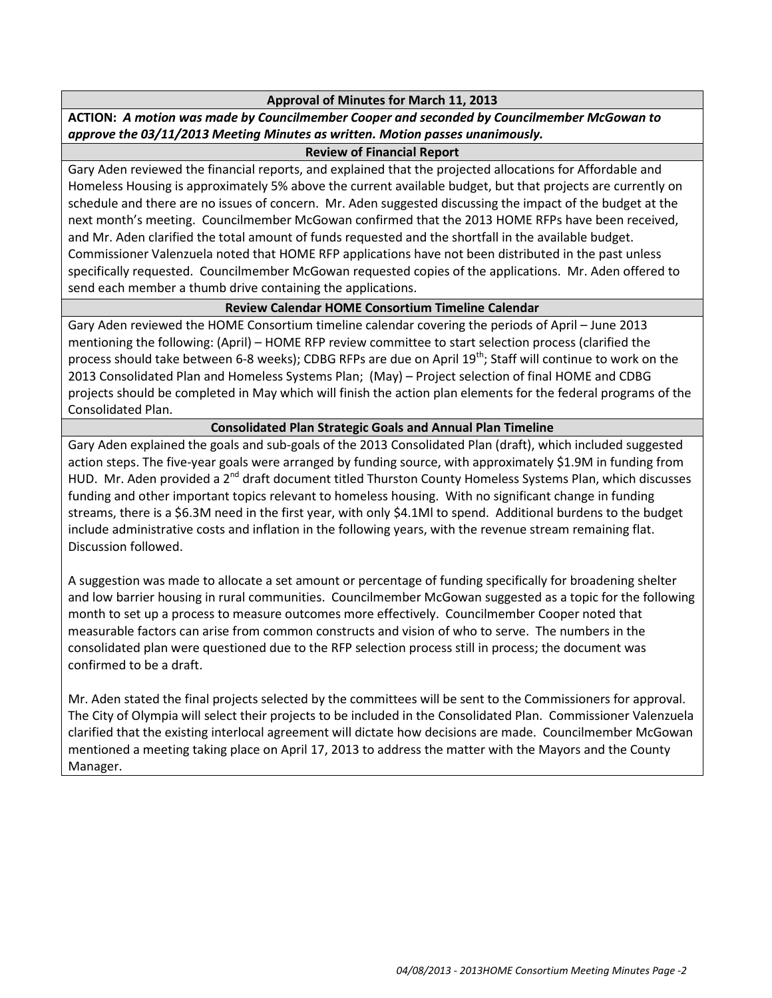#### **Approval of Minutes for March 11, 2013**

**ACTION:** *A motion was made by Councilmember Cooper and seconded by Councilmember McGowan to approve the 03/11/2013 Meeting Minutes as written. Motion passes unanimously.*

#### **Review of Financial Report**

Gary Aden reviewed the financial reports, and explained that the projected allocations for Affordable and Homeless Housing is approximately 5% above the current available budget, but that projects are currently on schedule and there are no issues of concern. Mr. Aden suggested discussing the impact of the budget at the next month's meeting. Councilmember McGowan confirmed that the 2013 HOME RFPs have been received, and Mr. Aden clarified the total amount of funds requested and the shortfall in the available budget. Commissioner Valenzuela noted that HOME RFP applications have not been distributed in the past unless specifically requested. Councilmember McGowan requested copies of the applications. Mr. Aden offered to send each member a thumb drive containing the applications.

### **Review Calendar HOME Consortium Timeline Calendar**

Gary Aden reviewed the HOME Consortium timeline calendar covering the periods of April – June 2013 mentioning the following: (April) – HOME RFP review committee to start selection process (clarified the process should take between 6-8 weeks); CDBG RFPs are due on April 19<sup>th</sup>; Staff will continue to work on the 2013 Consolidated Plan and Homeless Systems Plan; (May) – Project selection of final HOME and CDBG projects should be completed in May which will finish the action plan elements for the federal programs of the Consolidated Plan.

### **Consolidated Plan Strategic Goals and Annual Plan Timeline**

Gary Aden explained the goals and sub-goals of the 2013 Consolidated Plan (draft), which included suggested action steps. The five-year goals were arranged by funding source, with approximately \$1.9M in funding from HUD. Mr. Aden provided a 2<sup>nd</sup> draft document titled Thurston County Homeless Systems Plan, which discusses funding and other important topics relevant to homeless housing. With no significant change in funding streams, there is a \$6.3M need in the first year, with only \$4.1Ml to spend. Additional burdens to the budget include administrative costs and inflation in the following years, with the revenue stream remaining flat. Discussion followed.

A suggestion was made to allocate a set amount or percentage of funding specifically for broadening shelter and low barrier housing in rural communities. Councilmember McGowan suggested as a topic for the following month to set up a process to measure outcomes more effectively. Councilmember Cooper noted that measurable factors can arise from common constructs and vision of who to serve. The numbers in the consolidated plan were questioned due to the RFP selection process still in process; the document was confirmed to be a draft.

Mr. Aden stated the final projects selected by the committees will be sent to the Commissioners for approval. The City of Olympia will select their projects to be included in the Consolidated Plan. Commissioner Valenzuela clarified that the existing interlocal agreement will dictate how decisions are made. Councilmember McGowan mentioned a meeting taking place on April 17, 2013 to address the matter with the Mayors and the County Manager.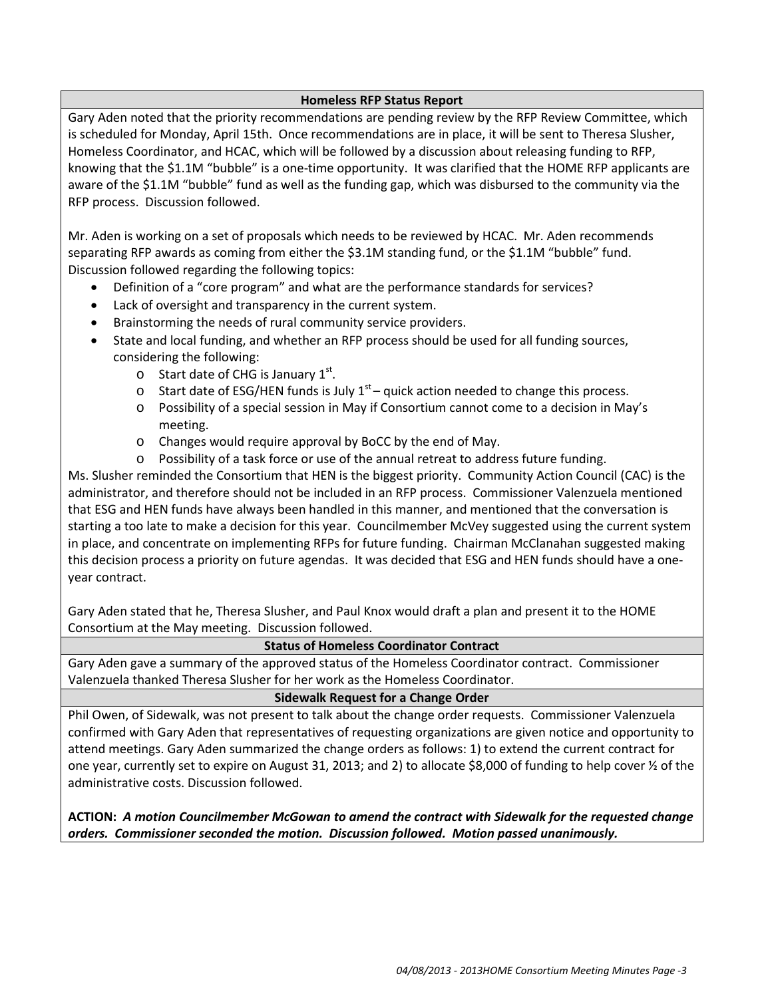### **Homeless RFP Status Report**

Gary Aden noted that the priority recommendations are pending review by the RFP Review Committee, which is scheduled for Monday, April 15th. Once recommendations are in place, it will be sent to Theresa Slusher, Homeless Coordinator, and HCAC, which will be followed by a discussion about releasing funding to RFP, knowing that the \$1.1M "bubble" is a one-time opportunity. It was clarified that the HOME RFP applicants are aware of the \$1.1M "bubble" fund as well as the funding gap, which was disbursed to the community via the RFP process. Discussion followed.

Mr. Aden is working on a set of proposals which needs to be reviewed by HCAC. Mr. Aden recommends separating RFP awards as coming from either the \$3.1M standing fund, or the \$1.1M "bubble" fund. Discussion followed regarding the following topics:

- Definition of a "core program" and what are the performance standards for services?
- Lack of oversight and transparency in the current system.
- Brainstorming the needs of rural community service providers.
- State and local funding, and whether an RFP process should be used for all funding sources, considering the following:
	- $\circ$  Start date of CHG is January 1st.
	- $\circ$  Start date of ESG/HEN funds is July 1<sup>st</sup> quick action needed to change this process.
	- o Possibility of a special session in May if Consortium cannot come to a decision in May's meeting.
	- o Changes would require approval by BoCC by the end of May.
	- o Possibility of a task force or use of the annual retreat to address future funding.

Ms. Slusher reminded the Consortium that HEN is the biggest priority. Community Action Council (CAC) is the administrator, and therefore should not be included in an RFP process. Commissioner Valenzuela mentioned that ESG and HEN funds have always been handled in this manner, and mentioned that the conversation is starting a too late to make a decision for this year. Councilmember McVey suggested using the current system in place, and concentrate on implementing RFPs for future funding. Chairman McClanahan suggested making this decision process a priority on future agendas. It was decided that ESG and HEN funds should have a oneyear contract.

Gary Aden stated that he, Theresa Slusher, and Paul Knox would draft a plan and present it to the HOME Consortium at the May meeting. Discussion followed.

# **Status of Homeless Coordinator Contract**

Gary Aden gave a summary of the approved status of the Homeless Coordinator contract. Commissioner Valenzuela thanked Theresa Slusher for her work as the Homeless Coordinator.

# **Sidewalk Request for a Change Order**

Phil Owen, of Sidewalk, was not present to talk about the change order requests. Commissioner Valenzuela confirmed with Gary Aden that representatives of requesting organizations are given notice and opportunity to attend meetings. Gary Aden summarized the change orders as follows: 1) to extend the current contract for one year, currently set to expire on August 31, 2013; and 2) to allocate \$8,000 of funding to help cover ½ of the administrative costs. Discussion followed.

**ACTION:** *A motion Councilmember McGowan to amend the contract with Sidewalk for the requested change orders. Commissioner seconded the motion. Discussion followed. Motion passed unanimously.*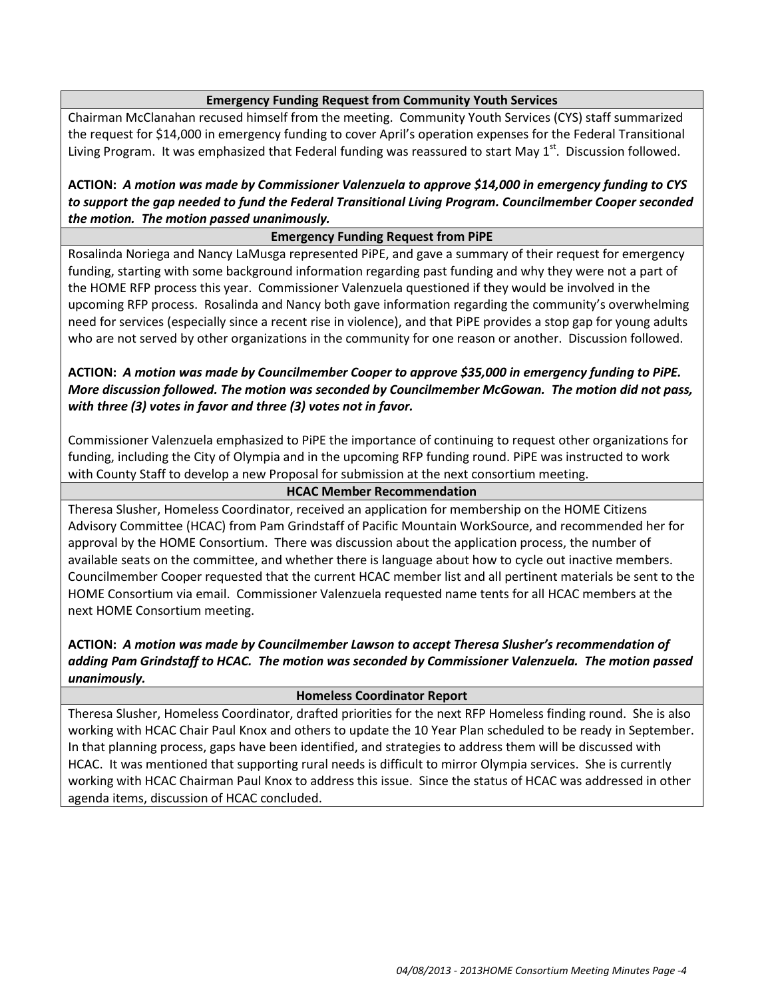## **Emergency Funding Request from Community Youth Services**

Chairman McClanahan recused himself from the meeting. Community Youth Services (CYS) staff summarized the request for \$14,000 in emergency funding to cover April's operation expenses for the Federal Transitional Living Program. It was emphasized that Federal funding was reassured to start May 1<sup>st</sup>. Discussion followed.

**ACTION:** *A motion was made by Commissioner Valenzuela to approve \$14,000 in emergency funding to CYS to support the gap needed to fund the Federal Transitional Living Program. Councilmember Cooper seconded the motion. The motion passed unanimously.*

### **Emergency Funding Request from PiPE**

Rosalinda Noriega and Nancy LaMusga represented PiPE, and gave a summary of their request for emergency funding, starting with some background information regarding past funding and why they were not a part of the HOME RFP process this year. Commissioner Valenzuela questioned if they would be involved in the upcoming RFP process. Rosalinda and Nancy both gave information regarding the community's overwhelming need for services (especially since a recent rise in violence), and that PiPE provides a stop gap for young adults who are not served by other organizations in the community for one reason or another. Discussion followed.

**ACTION:** *A motion was made by Councilmember Cooper to approve \$35,000 in emergency funding to PiPE. More discussion followed. The motion was seconded by Councilmember McGowan. The motion did not pass, with three (3) votes in favor and three (3) votes not in favor.* 

Commissioner Valenzuela emphasized to PiPE the importance of continuing to request other organizations for funding, including the City of Olympia and in the upcoming RFP funding round. PiPE was instructed to work with County Staff to develop a new Proposal for submission at the next consortium meeting.

### **HCAC Member Recommendation**

Theresa Slusher, Homeless Coordinator, received an application for membership on the HOME Citizens Advisory Committee (HCAC) from Pam Grindstaff of Pacific Mountain WorkSource, and recommended her for approval by the HOME Consortium. There was discussion about the application process, the number of available seats on the committee, and whether there is language about how to cycle out inactive members. Councilmember Cooper requested that the current HCAC member list and all pertinent materials be sent to the HOME Consortium via email. Commissioner Valenzuela requested name tents for all HCAC members at the next HOME Consortium meeting.

# **ACTION:** *A motion was made by Councilmember Lawson to accept Theresa Slusher's recommendation of adding Pam Grindstaff to HCAC. The motion was seconded by Commissioner Valenzuela. The motion passed unanimously.*

#### **Homeless Coordinator Report**

Theresa Slusher, Homeless Coordinator, drafted priorities for the next RFP Homeless finding round. She is also working with HCAC Chair Paul Knox and others to update the 10 Year Plan scheduled to be ready in September. In that planning process, gaps have been identified, and strategies to address them will be discussed with HCAC. It was mentioned that supporting rural needs is difficult to mirror Olympia services. She is currently working with HCAC Chairman Paul Knox to address this issue. Since the status of HCAC was addressed in other agenda items, discussion of HCAC concluded.